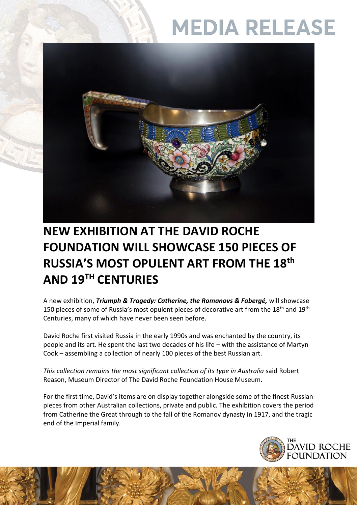# **MEDIA RELEASE**



### **NEW EXHIBITION AT THE DAVID ROCHE FOUNDATION WILL SHOWCASE 150 PIECES OF RUSSIA'S MOST OPULENT ART FROM THE 18th AND 19TH CENTURIES**

A new exhibition, *Triumph & Tragedy: Catherine, the Romanovs & Fabergé,* will showcase 150 pieces of some of Russia's most opulent pieces of decorative art from the 18<sup>th</sup> and 19<sup>th</sup> Centuries, many of which have never been seen before.

David Roche first visited Russia in the early 1990s and was enchanted by the country, its people and its art. He spent the last two decades of his life – with the assistance of Martyn Cook – assembling a collection of nearly 100 pieces of the best Russian art.

*This collection remains the most significant collection of its type in Australia* said Robert Reason, Museum Director of The David Roche Foundation House Museum.

For the first time, David's items are on display together alongside some of the finest Russian pieces from other Australian collections, private and public. The exhibition covers the period from Catherine the Great through to the fall of the Romanov dynasty in 1917, and the tragic end of the Imperial family.